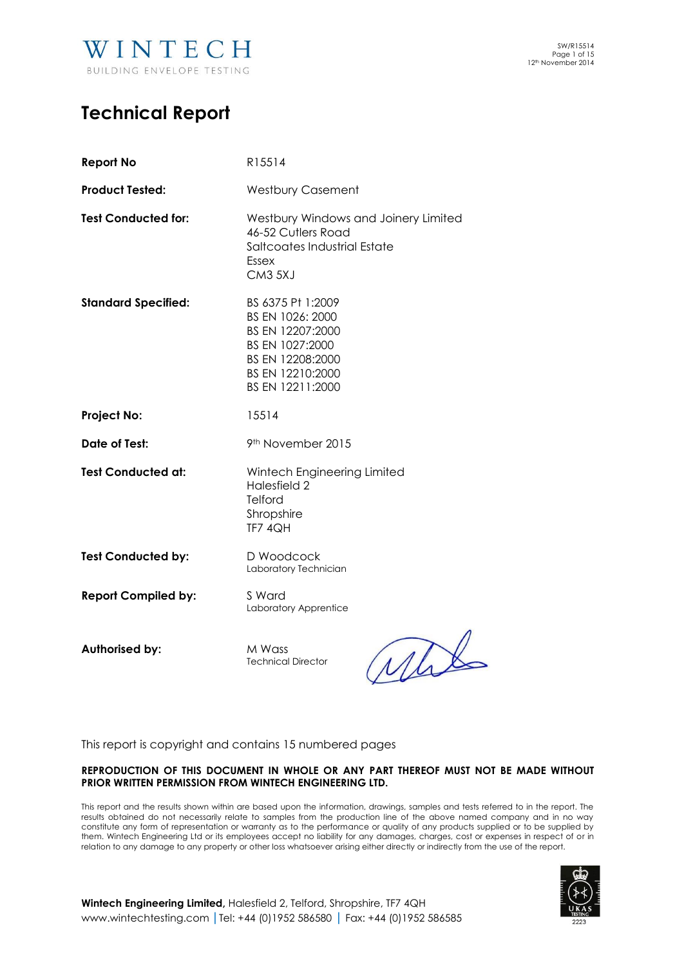

# **Technical Report**

| <b>Report No</b>           | R15514                                                                                                                                   |  |  |
|----------------------------|------------------------------------------------------------------------------------------------------------------------------------------|--|--|
| <b>Product Tested:</b>     | <b>Westbury Casement</b>                                                                                                                 |  |  |
| <b>Test Conducted for:</b> | Westbury Windows and Joinery Limited<br>46-52 Cutlers Road<br>Saltcoates Industrial Estate<br>Essex<br>CM3 5XJ                           |  |  |
| <b>Standard Specified:</b> | BS 6375 Pt 1:2009<br>BS EN 1026: 2000<br>BS EN 12207:2000<br>BS EN 1027:2000<br>BS EN 12208:2000<br>BS EN 12210:2000<br>BS EN 12211:2000 |  |  |
| <b>Project No:</b>         | 15514                                                                                                                                    |  |  |
| Date of Test:              | 9 <sup>th</sup> November 2015                                                                                                            |  |  |
| <b>Test Conducted at:</b>  | Wintech Engineering Limited<br>Halesfield 2<br>Telford<br>Shropshire<br>TF7 4QH                                                          |  |  |
| <b>Test Conducted by:</b>  | D Woodcock<br>Laboratory Technician                                                                                                      |  |  |
| <b>Report Compiled by:</b> | S Ward<br>Laboratory Apprentice                                                                                                          |  |  |
| <b>Authorised by:</b>      | M Wass<br><b>Technical Director</b>                                                                                                      |  |  |

This report is copyright and contains 15 numbered pages

# **REPRODUCTION OF THIS DOCUMENT IN WHOLE OR ANY PART THEREOF MUST NOT BE MADE WITHOUT PRIOR WRITTEN PERMISSION FROM WINTECH ENGINEERING LTD.**

This report and the results shown within are based upon the information, drawings, samples and tests referred to in the report. The results obtained do not necessarily relate to samples from the production line of the above named company and in no way constitute any form of representation or warranty as to the performance or quality of any products supplied or to be supplied by them. Wintech Engineering Ltd or its employees accept no liability for any damages, charges, cost or expenses in respect of or in relation to any damage to any property or other loss whatsoever arising either directly or indirectly from the use of the report.



**Wintech Engineering Limited,** Halesfield 2, Telford, Shropshire, TF7 4QH [www.wintechtesting.com](http://www.wintechtesting.com/) **|**Tel: +44 (0)1952 586580 **|** Fax: +44 (0)1952 586585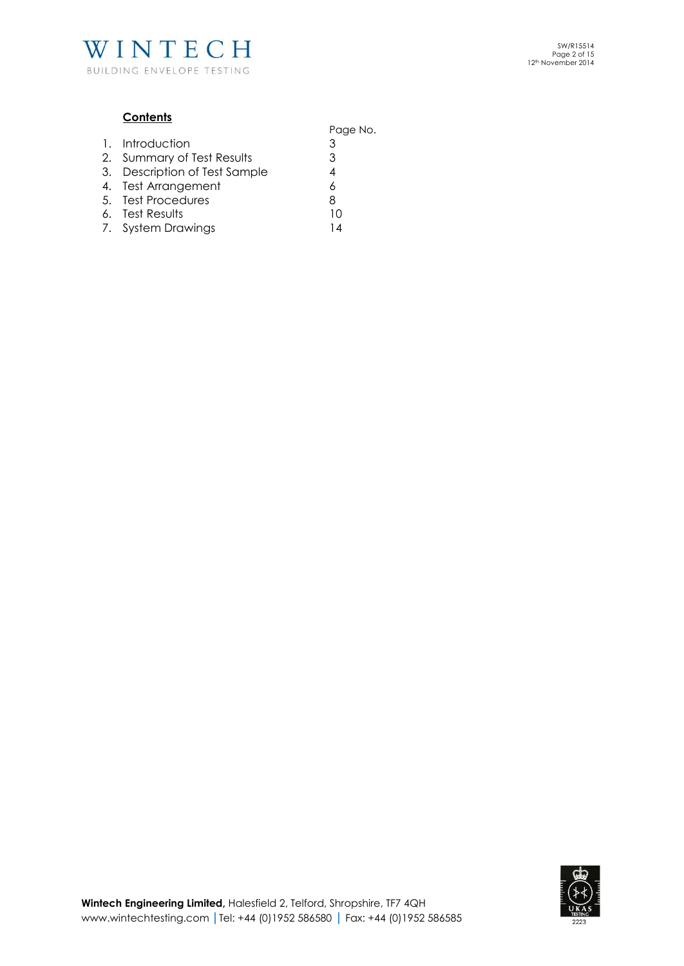

# **Contents**

|                               | Page No. |
|-------------------------------|----------|
| 1. Introduction               | 3        |
| 2. Summary of Test Results    | 3        |
| 3. Description of Test Sample | 4        |
| 4. Test Arrangement           | 6        |
| 5. Test Procedures            | 8        |
| 6. Test Results               | 10       |
| 7. System Drawings            | 14       |
|                               |          |

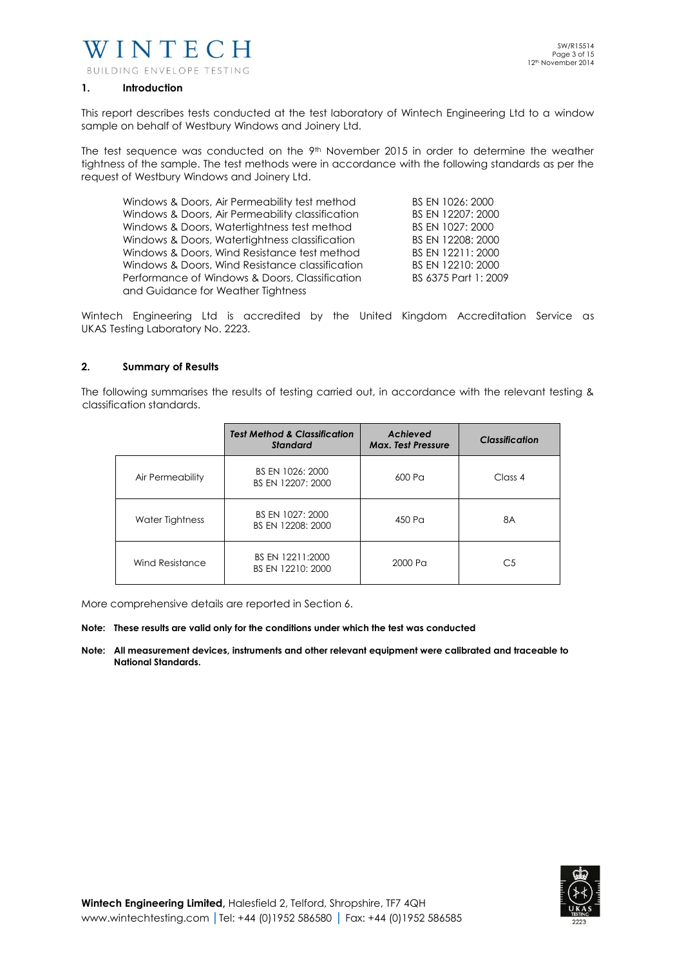

#### **1. Introduction**

This report describes tests conducted at the test laboratory of Wintech Engineering Ltd to a window sample on behalf of Westbury Windows and Joinery Ltd.

The test sequence was conducted on the  $9<sup>th</sup>$  November 2015 in order to determine the weather tightness of the sample. The test methods were in accordance with the following standards as per the request of Westbury Windows and Joinery Ltd.

| Windows & Doors, Air Permeability test method    | BS EN 1026: 2000     |
|--------------------------------------------------|----------------------|
| Windows & Doors, Air Permeability classification | BS EN 12207: 2000    |
| Windows & Doors, Watertightness test method      | BS EN 1027: 2000     |
| Windows & Doors, Watertightness classification   | BS EN 12208: 2000    |
| Windows & Doors, Wind Resistance test method     | BS EN 12211: 2000    |
| Windows & Doors, Wind Resistance classification  | BS EN 12210: 2000    |
| Performance of Windows & Doors, Classification   | BS 6375 Part 1: 2009 |
| and Guidance for Weather Tightness               |                      |

Wintech Engineering Ltd is accredited by the United Kingdom Accreditation Service as UKAS Testing Laboratory No. 2223.

#### **2. Summary of Results**

The following summarises the results of testing carried out, in accordance with the relevant testing & classification standards.

|                  | <b>Test Method &amp; Classification</b><br><b>Standard</b> | Achieved<br><b>Max. Test Pressure</b> | <b>Classification</b> |
|------------------|------------------------------------------------------------|---------------------------------------|-----------------------|
| Air Permeability | BS EN 1026: 2000<br>BS EN 12207: 2000                      | 600 Pa                                | Class 4               |
| Water Tightness  | BS EN 1027: 2000<br>BS EN 12208: 2000                      | 450 Pa                                | 8A                    |
| Wind Resistance  | BS EN 12211:2000<br>BS EN 12210: 2000                      | 2000 Pa                               | C5                    |

More comprehensive details are reported in Section 6.

#### **Note: These results are valid only for the conditions under which the test was conducted**

**Note: All measurement devices, instruments and other relevant equipment were calibrated and traceable to National Standards.** 

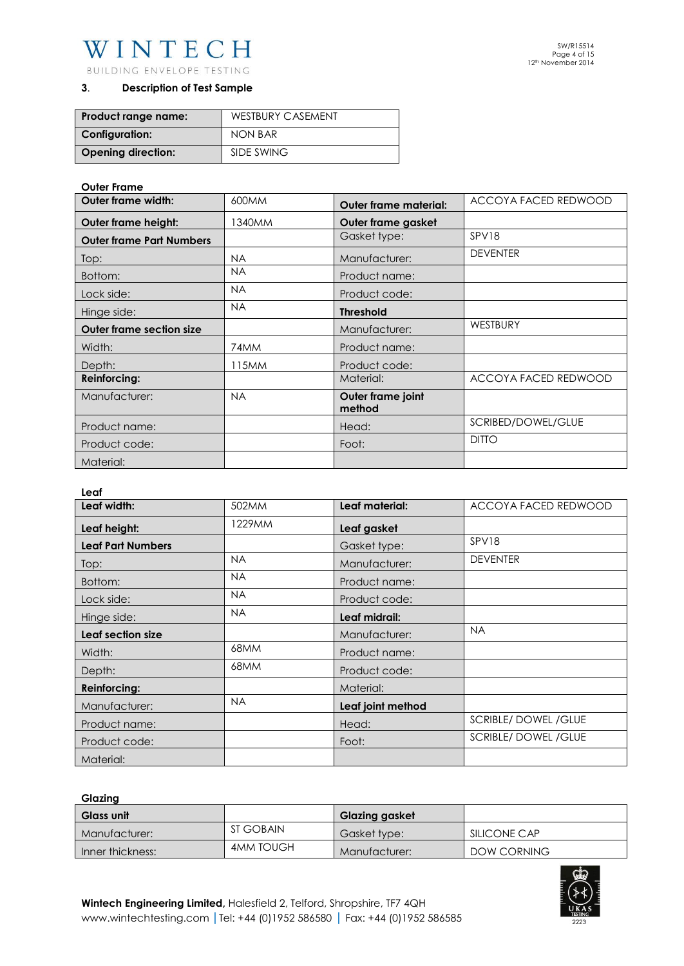# WINTECH

BUILDING ENVELOPE TESTING

# **3**. **Description of Test Sample**

| Product range name:       | <b>WESTBURY CASEMENT</b> |  |
|---------------------------|--------------------------|--|
| <b>Configuration:</b>     | NON BAR                  |  |
| <b>Opening direction:</b> | SIDE SWING               |  |

# **Outer Frame**

| <b>Outer frame width:</b>       | 600MM     | Outer frame material:       | ACCOYA FACED REDWOOD |
|---------------------------------|-----------|-----------------------------|----------------------|
| Outer frame height:             | 1340MM    | Outer frame gasket          |                      |
| <b>Outer frame Part Numbers</b> |           | Gasket type:                | SPV18                |
| Top:                            | <b>NA</b> | Manufacturer:               | <b>DEVENTER</b>      |
| Bottom:                         | <b>NA</b> | Product name:               |                      |
| Lock side:                      | <b>NA</b> | Product code:               |                      |
| Hinge side:                     | <b>NA</b> | <b>Threshold</b>            |                      |
| <b>Outer frame section size</b> |           | Manufacturer:               | WESTBURY             |
| Width:                          | 74MM      | Product name:               |                      |
| Depth:                          | 115MM     | Product code:               |                      |
| <b>Reinforcing:</b>             |           | Material:                   | ACCOYA FACED REDWOOD |
| Manufacturer:                   | <b>NA</b> | Outer frame joint<br>method |                      |
| Product name:                   |           | Head:                       | SCRIBED/DOWEL/GLUE   |
| Product code:                   |           | Foot:                       | <b>DITO</b>          |
| Material:                       |           |                             |                      |

#### **Leaf**

| Leaf width:              | 502MM     | Leaf material:    | ACCOYA FACED REDWOOD      |
|--------------------------|-----------|-------------------|---------------------------|
| Leaf height:             | 1229MM    | Leaf gasket       |                           |
| <b>Leaf Part Numbers</b> |           | Gasket type:      | SPV18                     |
| Top:                     | <b>NA</b> | Manufacturer:     | <b>DEVENTER</b>           |
| Bottom:                  | <b>NA</b> | Product name:     |                           |
| Lock side:               | <b>NA</b> | Product code:     |                           |
| Hinge side:              | <b>NA</b> | Leaf midrail:     |                           |
| Leaf section size        |           | Manufacturer:     | <b>NA</b>                 |
| Width:                   | 68MM      | Product name:     |                           |
| Depth:                   | 68MM      | Product code:     |                           |
| <b>Reinforcing:</b>      |           | Material:         |                           |
| Manufacturer:            | <b>NA</b> | Leaf joint method |                           |
| Product name:            |           | Head:             | <b>SCRIBLE/DOWEL/GLUE</b> |
| Product code:            |           | Foot:             | <b>SCRIBLE/DOWEL/GLUE</b> |
| Material:                |           |                   |                           |

# **Glazing**

| <b>Glass unit</b> |                  | <b>Glazing gasket</b> |              |
|-------------------|------------------|-----------------------|--------------|
| Manufacturer:     | ST GOBAIN        | Gasket type:          | SILICONE CAP |
| Inner thickness:  | <b>4MM TOUGH</b> | Manufacturer:         | DOW CORNING  |

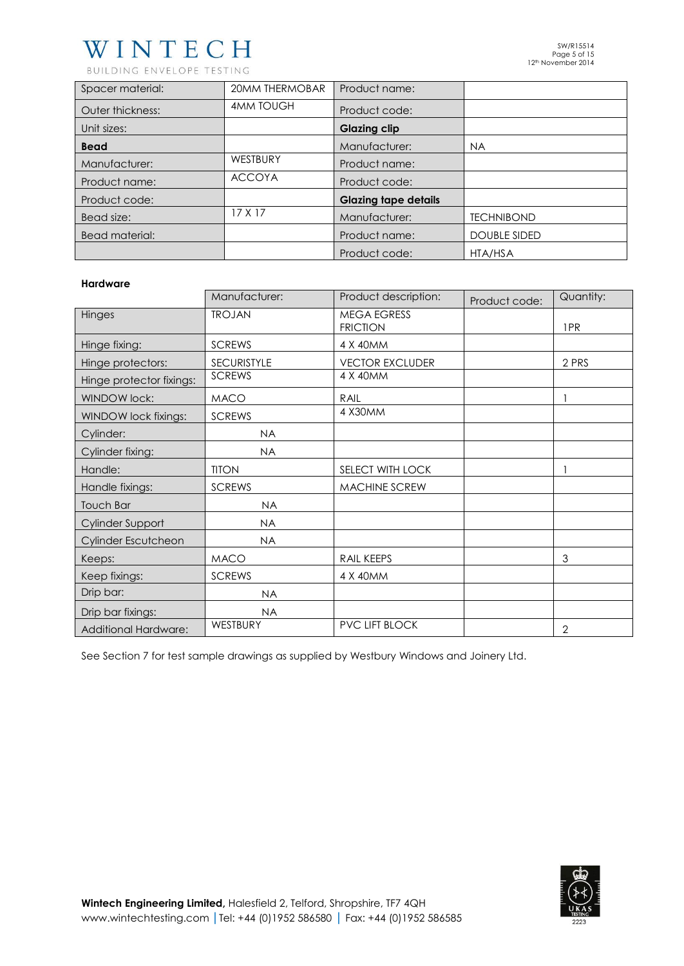# WINTECH

BUILDING ENVELOPE TESTING

| Spacer material: | <b>20MM THERMOBAR</b> | Product name:               |                     |
|------------------|-----------------------|-----------------------------|---------------------|
| Outer thickness: | <b>4MM TOUGH</b>      | Product code:               |                     |
| Unit sizes:      |                       | <b>Glazing clip</b>         |                     |
| <b>Bead</b>      |                       | Manufacturer:               | <b>NA</b>           |
| Manufacturer:    | WESTBURY              | Product name:               |                     |
| Product name:    | <b>ACCOYA</b>         | Product code:               |                     |
| Product code:    |                       | <b>Glazing tape details</b> |                     |
| Bead size:       | 17 X 17               | Manufacturer:               | <b>TECHNIBOND</b>   |
| Bead material:   |                       | Product name:               | <b>DOUBLE SIDED</b> |
|                  |                       | Product code:               | HTA/HSA             |

#### **Hardware**

|                             | Manufacturer:      | Product description:                  | Product code: | Quantity:      |
|-----------------------------|--------------------|---------------------------------------|---------------|----------------|
| Hinges                      | <b>TROJAN</b>      | <b>MEGA EGRESS</b><br><b>FRICTION</b> |               | 1PR            |
| Hinge fixing:               | <b>SCREWS</b>      | 4 X 40MM                              |               |                |
| Hinge protectors:           | <b>SECURISTYLE</b> | <b>VECTOR EXCLUDER</b>                |               | 2 PRS          |
| Hinge protector fixings:    | <b>SCREWS</b>      | 4 X 40MM                              |               |                |
| <b>WINDOW lock:</b>         | <b>MACO</b>        | RAIL                                  |               |                |
| WINDOW lock fixings:        | <b>SCREWS</b>      | 4 X30MM                               |               |                |
| Cylinder:                   | <b>NA</b>          |                                       |               |                |
| Cylinder fixing:            | <b>NA</b>          |                                       |               |                |
| Handle:                     | <b>TITON</b>       | SELECT WITH LOCK                      |               |                |
| Handle fixings:             | <b>SCREWS</b>      | <b>MACHINE SCREW</b>                  |               |                |
| Touch Bar                   | <b>NA</b>          |                                       |               |                |
| Cylinder Support            | <b>NA</b>          |                                       |               |                |
| Cylinder Escutcheon         | <b>NA</b>          |                                       |               |                |
| Keeps:                      | <b>MACO</b>        | RAIL KEEPS                            |               | 3              |
| Keep fixings:               | <b>SCREWS</b>      | 4 X 40MM                              |               |                |
| Drip bar:                   | <b>NA</b>          |                                       |               |                |
| Drip bar fixings:           | <b>NA</b>          |                                       |               |                |
| <b>Additional Hardware:</b> | WESTBURY           | <b>PVC LIFT BLOCK</b>                 |               | $\overline{2}$ |

See Section 7 for test sample drawings as supplied by Westbury Windows and Joinery Ltd.

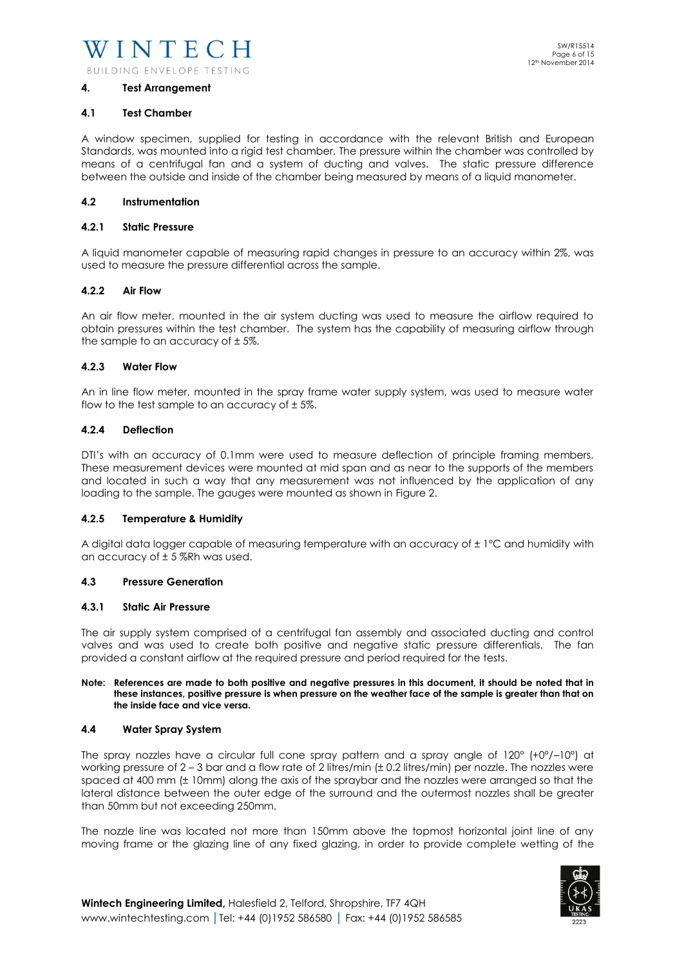#### **4. Test Arrangement**

#### **4.1 Test Chamber**

A window specimen, supplied for testing in accordance with the relevant British and European Standards, was mounted into a rigid test chamber. The pressure within the chamber was controlled by means of a centrifugal fan and a system of ducting and valves. The static pressure difference between the outside and inside of the chamber being measured by means of a liquid manometer.

#### **4.2 Instrumentation**

#### **4.2.1 Static Pressure**

A liquid manometer capable of measuring rapid changes in pressure to an accuracy within 2%, was used to measure the pressure differential across the sample.

#### **4.2.2 Air Flow**

An air flow meter, mounted in the air system ducting was used to measure the airflow required to obtain pressures within the test chamber. The system has the capability of measuring airflow through the sample to an accuracy of  $\pm$  5%.

#### **4.2.3 Water Flow**

An in line flow meter, mounted in the spray frame water supply system, was used to measure water flow to the test sample to an accuracy of  $\pm$  5%.

#### **4.2.4 Deflection**

DTI's with an accuracy of 0.1mm were used to measure deflection of principle framing members. These measurement devices were mounted at mid span and as near to the supports of the members and located in such a way that any measurement was not influenced by the application of any loading to the sample. The gauges were mounted as shown in Figure 2.

# **4.2.5 Temperature & Humidity**

A digital data logger capable of measuring temperature with an accuracy of ± 1°C and humidity with an accuracy of  $\pm$  5 %Rh was used.

# **4.3 Pressure Generation**

#### **4.3.1 Static Air Pressure**

The air supply system comprised of a centrifugal fan assembly and associated ducting and control valves and was used to create both positive and negative static pressure differentials. The fan provided a constant airflow at the required pressure and period required for the tests.

#### **Note: References are made to both positive and negative pressures in this document, it should be noted that in these instances, positive pressure is when pressure on the weather face of the sample is greater than that on the inside face and vice versa.**

#### **4.4 Water Spray System**

The spray nozzles have a circular full cone spray pattern and a spray angle of 120° (+0°/–10°) at working pressure of 2 – 3 bar and a flow rate of 2 litres/min (± 0.2 litres/min) per nozzle. The nozzles were spaced at 400 mm (± 10mm) along the axis of the spraybar and the nozzles were arranged so that the lateral distance between the outer edge of the surround and the outermost nozzles shall be greater than 50mm but not exceeding 250mm.

The nozzle line was located not more than 150mm above the topmost horizontal joint line of any moving frame or the glazing line of any fixed glazing, in order to provide complete wetting of the

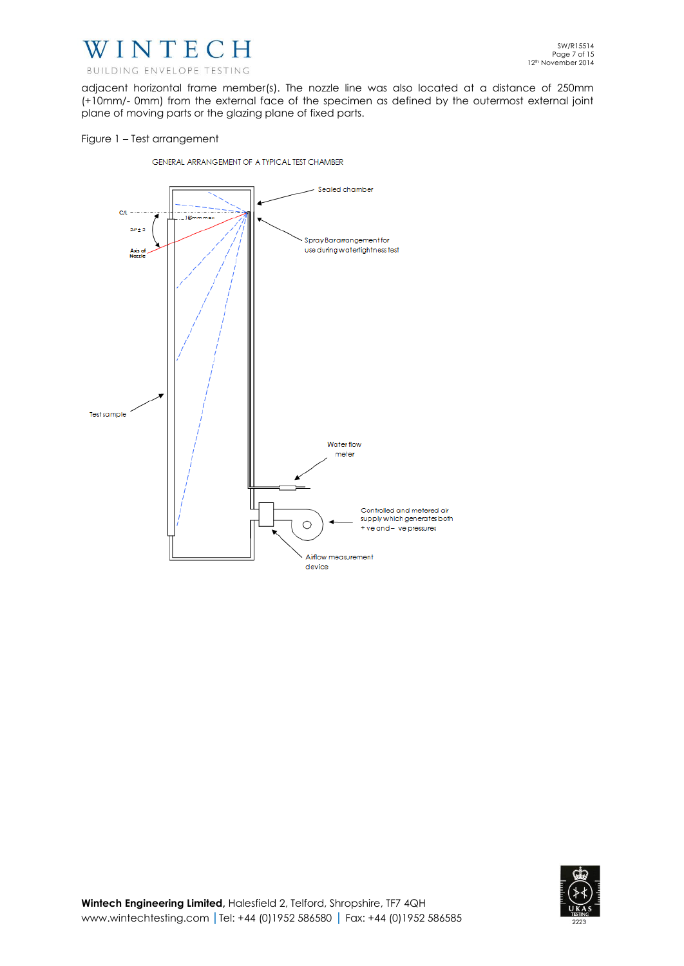

adjacent horizontal frame member(s). The nozzle line was also located at a distance of 250mm (+10mm/- 0mm) from the external face of the specimen as defined by the outermost external joint plane of moving parts or the glazing plane of fixed parts.

# Figure 1 – Test arrangement

GENERAL ARRANGEMENT OF A TYPICAL TEST CHAMBER



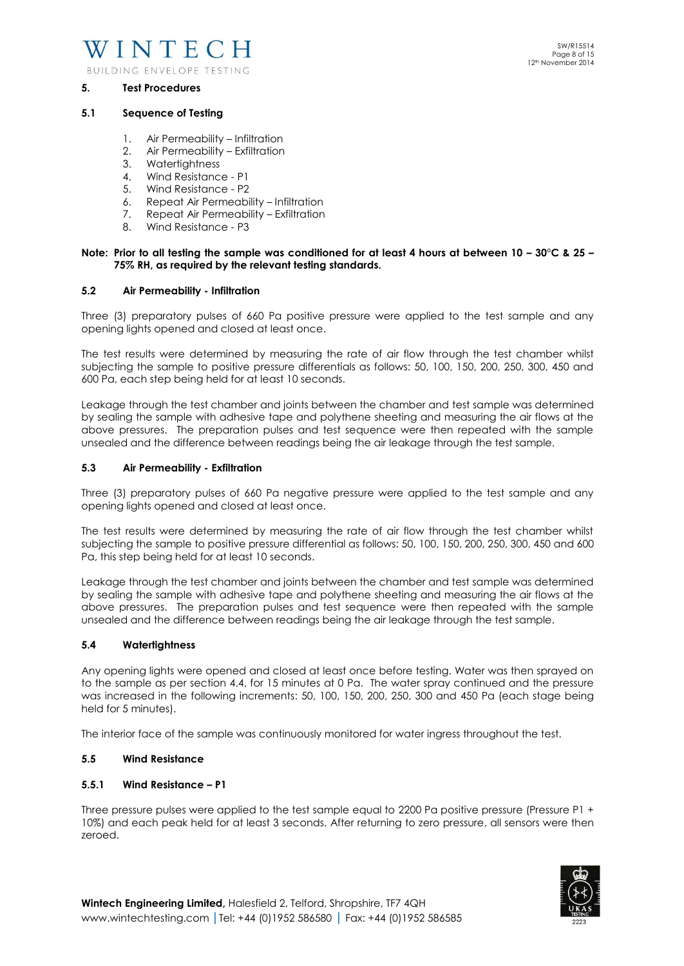

#### **5. Test Procedures**

#### **5.1 Sequence of Testing**

- 1. Air Permeability Infiltration
- 2. Air Permeability Exfiltration
- 3. Watertightness
- 4. Wind Resistance P1
- 5. Wind Resistance P2
- 6. Repeat Air Permeability Infiltration
- 7. Repeat Air Permeability Exfiltration
- 8. Wind Resistance P3

#### **Note: Prior to all testing the sample was conditioned for at least 4 hours at between 10 – 30°C & 25 – 75% RH, as required by the relevant testing standards.**

#### **5.2 Air Permeability - Infiltration**

Three (3) preparatory pulses of 660 Pa positive pressure were applied to the test sample and any opening lights opened and closed at least once.

The test results were determined by measuring the rate of air flow through the test chamber whilst subjecting the sample to positive pressure differentials as follows: 50, 100, 150, 200, 250, 300, 450 and 600 Pa, each step being held for at least 10 seconds.

Leakage through the test chamber and joints between the chamber and test sample was determined by sealing the sample with adhesive tape and polythene sheeting and measuring the air flows at the above pressures. The preparation pulses and test sequence were then repeated with the sample unsealed and the difference between readings being the air leakage through the test sample.

#### **5.3 Air Permeability - Exfiltration**

Three (3) preparatory pulses of 660 Pa negative pressure were applied to the test sample and any opening lights opened and closed at least once.

The test results were determined by measuring the rate of air flow through the test chamber whilst subjecting the sample to positive pressure differential as follows: 50, 100, 150, 200, 250, 300, 450 and 600 Pa, this step being held for at least 10 seconds.

Leakage through the test chamber and joints between the chamber and test sample was determined by sealing the sample with adhesive tape and polythene sheeting and measuring the air flows at the above pressures. The preparation pulses and test sequence were then repeated with the sample unsealed and the difference between readings being the air leakage through the test sample.

#### **5.4 Watertightness**

Any opening lights were opened and closed at least once before testing. Water was then sprayed on to the sample as per section 4.4, for 15 minutes at 0 Pa. The water spray continued and the pressure was increased in the following increments: 50, 100, 150, 200, 250, 300 and 450 Pa (each stage being held for 5 minutes).

The interior face of the sample was continuously monitored for water ingress throughout the test.

# **5.5 Wind Resistance**

# **5.5.1 Wind Resistance – P1**

Three pressure pulses were applied to the test sample equal to 2200 Pa positive pressure (Pressure P1 + 10%) and each peak held for at least 3 seconds. After returning to zero pressure, all sensors were then zeroed.

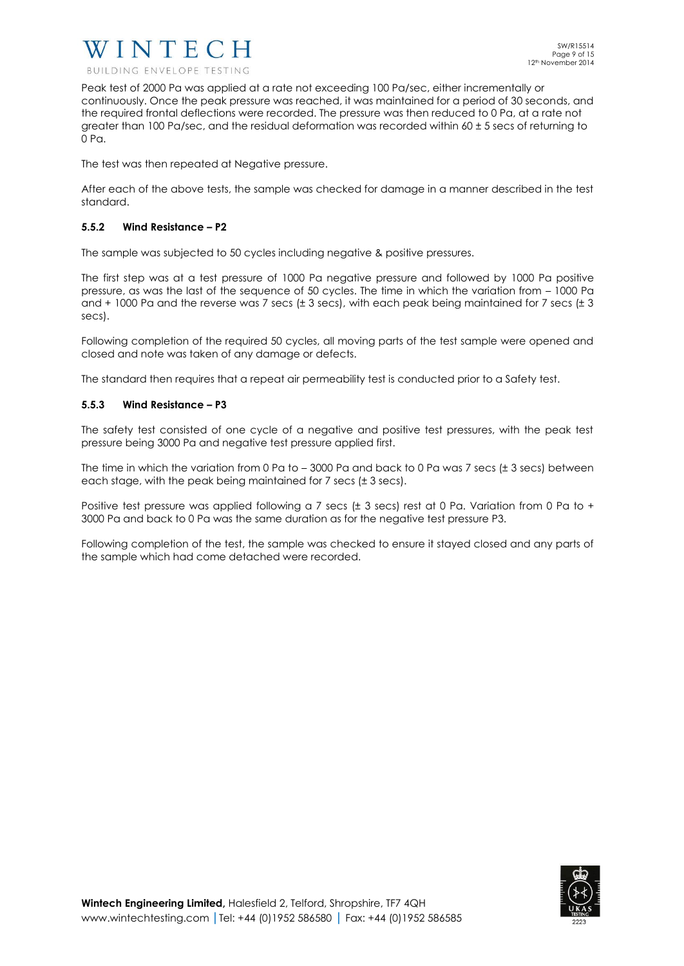

Peak test of 2000 Pa was applied at a rate not exceeding 100 Pa/sec, either incrementally or continuously. Once the peak pressure was reached, it was maintained for a period of 30 seconds, and the required frontal deflections were recorded. The pressure was then reduced to 0 Pa, at a rate not greater than 100 Pa/sec, and the residual deformation was recorded within  $60 \pm 5$  secs of returning to 0 Pa.

The test was then repeated at Negative pressure.

After each of the above tests, the sample was checked for damage in a manner described in the test standard.

# **5.5.2 Wind Resistance – P2**

The sample was subjected to 50 cycles including negative & positive pressures.

The first step was at a test pressure of 1000 Pa negative pressure and followed by 1000 Pa positive pressure, as was the last of the sequence of 50 cycles. The time in which the variation from – 1000 Pa and + 1000 Pa and the reverse was 7 secs (± 3 secs), with each peak being maintained for 7 secs (± 3 secs).

Following completion of the required 50 cycles, all moving parts of the test sample were opened and closed and note was taken of any damage or defects.

The standard then requires that a repeat air permeability test is conducted prior to a Safety test.

# **5.5.3 Wind Resistance – P3**

The safety test consisted of one cycle of a negative and positive test pressures, with the peak test pressure being 3000 Pa and negative test pressure applied first.

The time in which the variation from 0 Pa to  $-3000$  Pa and back to 0 Pa was 7 secs ( $\pm$  3 secs) between each stage, with the peak being maintained for 7 secs (± 3 secs).

Positive test pressure was applied following a 7 secs (± 3 secs) rest at 0 Pa. Variation from 0 Pa to + 3000 Pa and back to 0 Pa was the same duration as for the negative test pressure P3.

Following completion of the test, the sample was checked to ensure it stayed closed and any parts of the sample which had come detached were recorded.

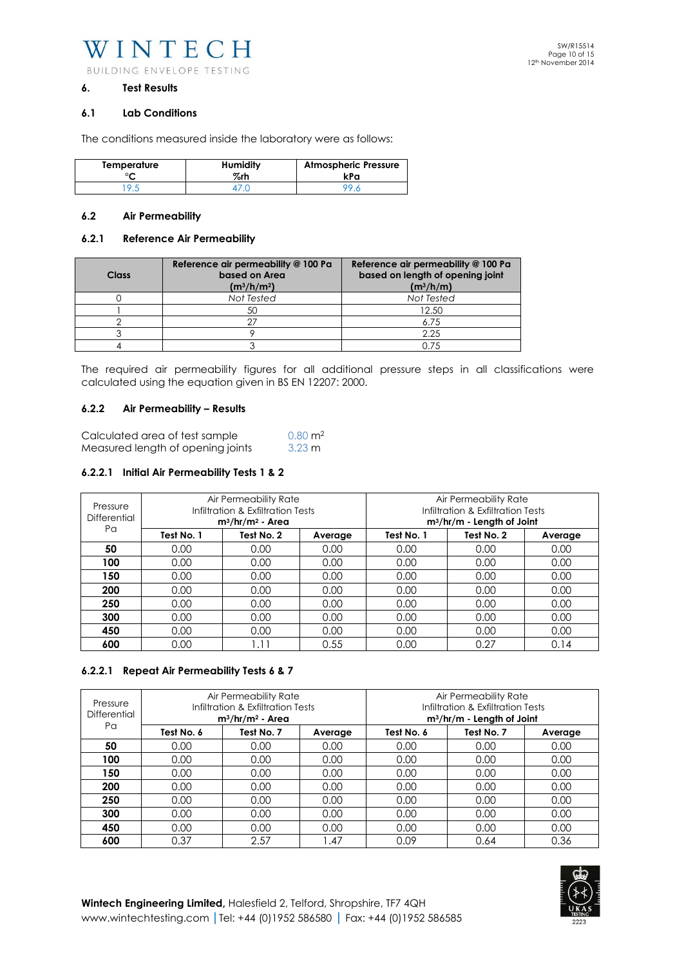WINTECH BUILDING ENVELOPE TESTING

#### **6. Test Results**

#### **6.1 Lab Conditions**

The conditions measured inside the laboratory were as follows:

| Temperature | <b>Humidity</b><br>%rh | <b>Atmospheric Pressure</b><br>kPa |
|-------------|------------------------|------------------------------------|
|             |                        |                                    |

# **6.2 Air Permeability**

#### **6.2.1 Reference Air Permeability**

| Class | Reference air permeability @ 100 Pa<br>based on Area<br>$(m^3/h/m^2)$ | Reference air permeability @ 100 Pa<br>based on length of opening joint<br>$(m^3/h/m)$ |
|-------|-----------------------------------------------------------------------|----------------------------------------------------------------------------------------|
|       | Not Tested                                                            | Not Tested                                                                             |
|       | 50                                                                    | 12.50                                                                                  |
|       |                                                                       | 6.75                                                                                   |
|       |                                                                       | 2.25                                                                                   |
|       |                                                                       | 0.75                                                                                   |

The required air permeability figures for all additional pressure steps in all classifications were calculated using the equation given in BS EN 12207: 2000.

#### **6.2.2 Air Permeability – Results**

| Calculated area of test sample    | $0.80 \text{ m}^2$ |
|-----------------------------------|--------------------|
| Measured length of opening joints | $3.23 \text{ m}$   |

# **6.2.2.1 Initial Air Permeability Tests 1 & 2**

| Pressure<br>Differential<br>Pα | Air Permeability Rate<br>Infiltration & Exfiltration Tests<br>$m^3/hr/m^2$ - Area |            |         | Air Permeability Rate<br>Infiltration & Exfiltration Tests<br>m <sup>3</sup> /hr/m - Length of Joint |            |         |
|--------------------------------|-----------------------------------------------------------------------------------|------------|---------|------------------------------------------------------------------------------------------------------|------------|---------|
|                                | Test No. 1                                                                        | Test No. 2 | Average | Test No. 1                                                                                           | Test No. 2 | Average |
| 50                             | 0.00                                                                              | 0.00       | 0.00    | 0.00                                                                                                 | 0.00       | 0.00    |
| 100                            | 0.00                                                                              | 0.00       | 0.00    | 0.00                                                                                                 | 0.00       | 0.00    |
| 150                            | 0.00                                                                              | 0.00       | 0.00    | 0.00                                                                                                 | 0.00       | 0.00    |
| 200                            | 0.00                                                                              | 0.00       | 0.00    | 0.00                                                                                                 | 0.00       | 0.00    |
| 250                            | 0.00                                                                              | 0.00       | 0.00    | 0.00                                                                                                 | 0.00       | 0.00    |
| 300                            | 0.00                                                                              | 0.00       | 0.00    | 0.00                                                                                                 | 0.00       | 0.00    |
| 450                            | 0.00                                                                              | 0.00       | 0.00    | 0.00                                                                                                 | 0.00       | 0.00    |
| 600                            | 0.00                                                                              | l.11       | 0.55    | 0.00                                                                                                 | 0.27       | 0.14    |

# **6.2.2.1 Repeat Air Permeability Tests 6 & 7**

| Pressure<br>Differential |            | Air Permeability Rate<br>Infiltration & Exfiltration Tests<br>$m^3/hr/m^2$ - Area |         | Air Permeability Rate<br>Infiltration & Exfiltration Tests<br>$m^3/hr/m - Length of Joint$ |            |         |
|--------------------------|------------|-----------------------------------------------------------------------------------|---------|--------------------------------------------------------------------------------------------|------------|---------|
| Pα                       | Test No. 6 | Test No. 7                                                                        | Average | Test No. 6                                                                                 | Test No. 7 | Average |
| 50                       | 0.00       | 0.00                                                                              | 0.00    | 0.00                                                                                       | 0.00       | 0.00    |
| 100                      | 0.00       | 0.00                                                                              | 0.00    | 0.00                                                                                       | 0.00       | 0.00    |
| 150                      | 0.00       | 0.00                                                                              | 0.00    | 0.00                                                                                       | 0.00       | 0.00    |
| 200                      | 0.00       | 0.00                                                                              | 0.00    | 0.00                                                                                       | 0.00       | 0.00    |
| 250                      | 0.00       | 0.00                                                                              | 0.00    | 0.00                                                                                       | 0.00       | 0.00    |
| 300                      | 0.00       | 0.00                                                                              | 0.00    | 0.00                                                                                       | 0.00       | 0.00    |
| 450                      | 0.00       | 0.00                                                                              | 0.00    | 0.00                                                                                       | 0.00       | 0.00    |
| 600                      | 0.37       | 2.57                                                                              | .47     | 0.09                                                                                       | 0.64       | 0.36    |

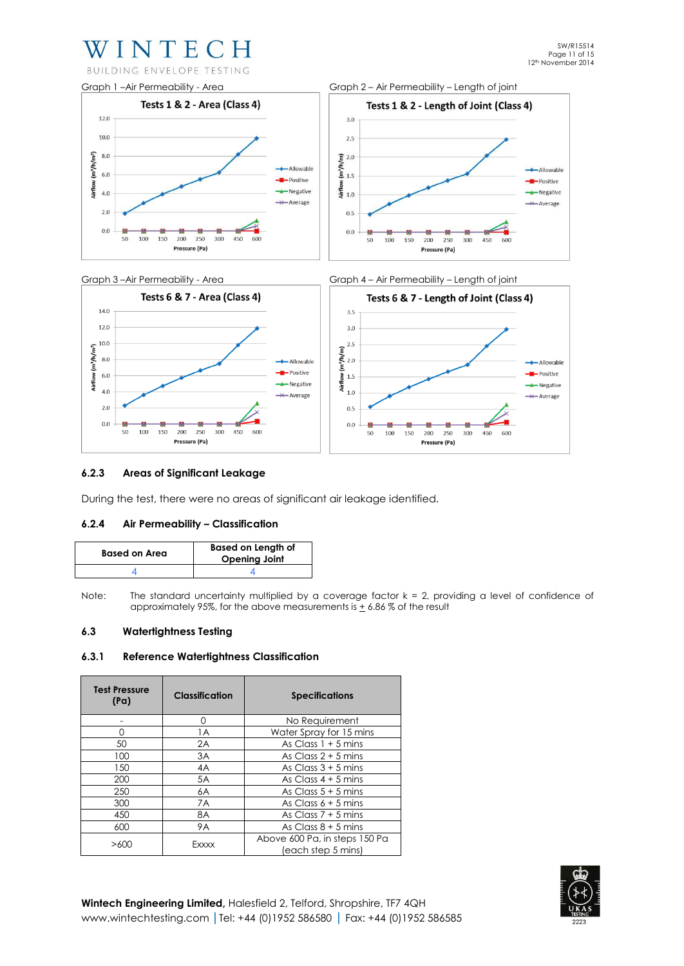# WINTECH





# **6.2.3 Areas of Significant Leakage**

During the test, there were no areas of significant air leakage identified.

# **6.2.4 Air Permeability – Classification**

| <b>Based on Area</b> | <b>Based on Length of</b><br><b>Opening Joint</b> |
|----------------------|---------------------------------------------------|
|                      |                                                   |

Note: The standard uncertainty multiplied by a coverage factor  $k = 2$ , providing a level of confidence of approximately 95%, for the above measurements is  $\pm$  6.86% of the result

# **6.3 Watertightness Testing**

#### **6.3.1 Reference Watertightness Classification**

| <b>Test Pressure</b><br>(Pa) | <b>Classification</b> | <b>Specifications</b>                               |  |
|------------------------------|-----------------------|-----------------------------------------------------|--|
|                              | 0                     | No Requirement                                      |  |
| Ω                            | 1A                    | Water Spray for 15 mins                             |  |
| 50                           | 2A                    | As Class $1 + 5$ mins                               |  |
| 100                          | 3A                    | As Class $2 + 5$ mins                               |  |
| 150                          | 4A                    | As Class $3 + 5$ mins                               |  |
| 200                          | 5A                    | As Class $4 + 5$ mins                               |  |
| 250                          | 6A                    | As Class $5 + 5$ mins                               |  |
| 300                          | 7A                    | As Class $6 + 5$ mins                               |  |
| 450                          | 8A                    | As Class $7 + 5$ mins                               |  |
| 600                          | <b>9A</b>             | As Class $8 + 5$ mins                               |  |
| >600                         | Exxxx                 | Above 600 Pa, in steps 150 Pa<br>(each step 5 mins) |  |

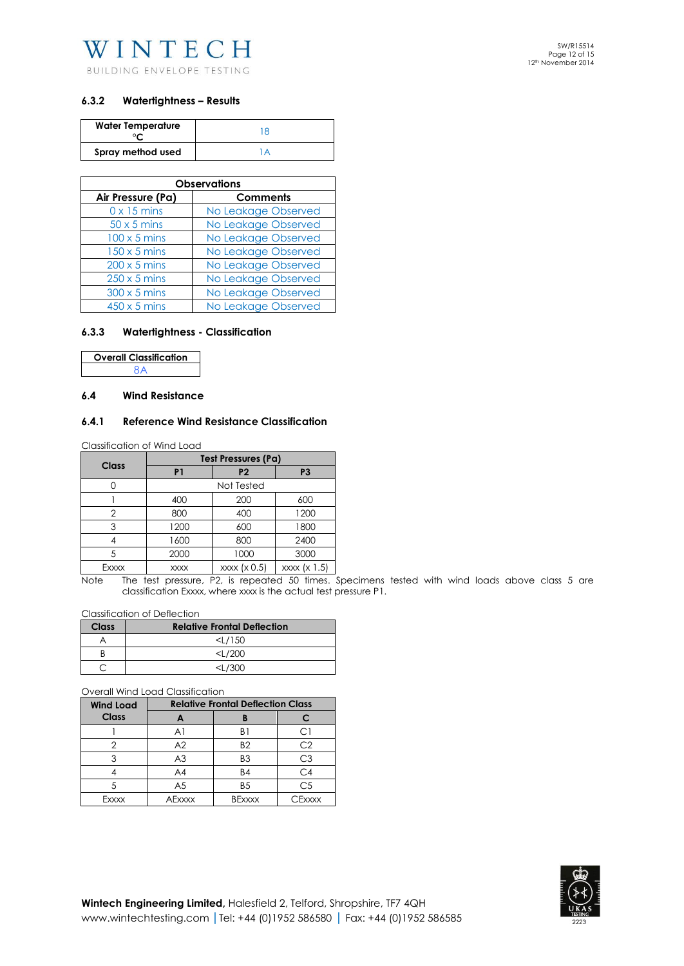

# **6.3.2 Watertightness – Results**

| <b>Water Temperature</b> |  |
|--------------------------|--|
| Spray method used        |  |

| <b>Observations</b>                  |                     |  |  |
|--------------------------------------|---------------------|--|--|
| Air Pressure (Pa)<br><b>Comments</b> |                     |  |  |
| $0 \times 15$ mins                   | No Leakage Observed |  |  |
| $50 \times 5$ mins                   | No Leakage Observed |  |  |
| $100 \times 5$ mins                  | No Leakage Observed |  |  |
| $150 \times 5$ mins                  | No Leakage Observed |  |  |
| $200 \times 5$ mins                  | No Leakage Observed |  |  |
| $250 \times 5$ mins                  | No Leakage Observed |  |  |
| $300 \times 5$ mins                  | No Leakage Observed |  |  |
| $450 \times 5$ mins                  | No Leakage Observed |  |  |

# **6.3.3 Watertightness - Classification**

| <b>Overall Classification</b> |  |
|-------------------------------|--|
| 8A                            |  |

#### **6.4 Wind Resistance**

# **6.4.1 Reference Wind Resistance Classification**

Classification of Wind Load

| Class | Test Pressures (Pa)                         |                |                |  |  |
|-------|---------------------------------------------|----------------|----------------|--|--|
|       | P <sub>1</sub>                              | P <sub>2</sub> | P <sub>3</sub> |  |  |
|       |                                             | Not Tested     |                |  |  |
|       | 200<br>600<br>400                           |                |                |  |  |
| 2     | 800                                         | 400            | 1200           |  |  |
| 3     | 1200                                        | 600            | 1800           |  |  |
|       | 1600                                        | 800            | 2400           |  |  |
|       | 2000                                        | 1000           | 3000           |  |  |
| Exxxx | xxxx (x 1.5)<br>xxxx (x 0.5)<br><b>XXXX</b> |                |                |  |  |

Note The test pressure, P2, is repeated 50 times. Specimens tested with wind loads above class 5 are classification Exxxx, where xxxx is the actual test pressure P1.

Classification of Deflection

| Class | <b>Relative Frontal Deflection</b> |
|-------|------------------------------------|
|       | $<$ L/150                          |
|       | $<\frac{1}{200}$                   |
|       | <1/300                             |

Overall Wind Load Classification

| <b>Wind Load</b> | <b>Relative Frontal Deflection Class</b> |                |                |  |
|------------------|------------------------------------------|----------------|----------------|--|
| <b>Class</b>     |                                          |                |                |  |
|                  | Αl                                       | B1             | СI             |  |
|                  | A <sub>2</sub>                           | B <sub>2</sub> | C2             |  |
|                  | A <sub>3</sub>                           | B <sub>3</sub> | С3             |  |
|                  | A4                                       | <b>B4</b>      | C4             |  |
|                  | A5                                       | B <sub>5</sub> | C <sub>5</sub> |  |
| Fxxxx            | AFxxxx                                   | <b>BExxxx</b>  | CFxxxx         |  |

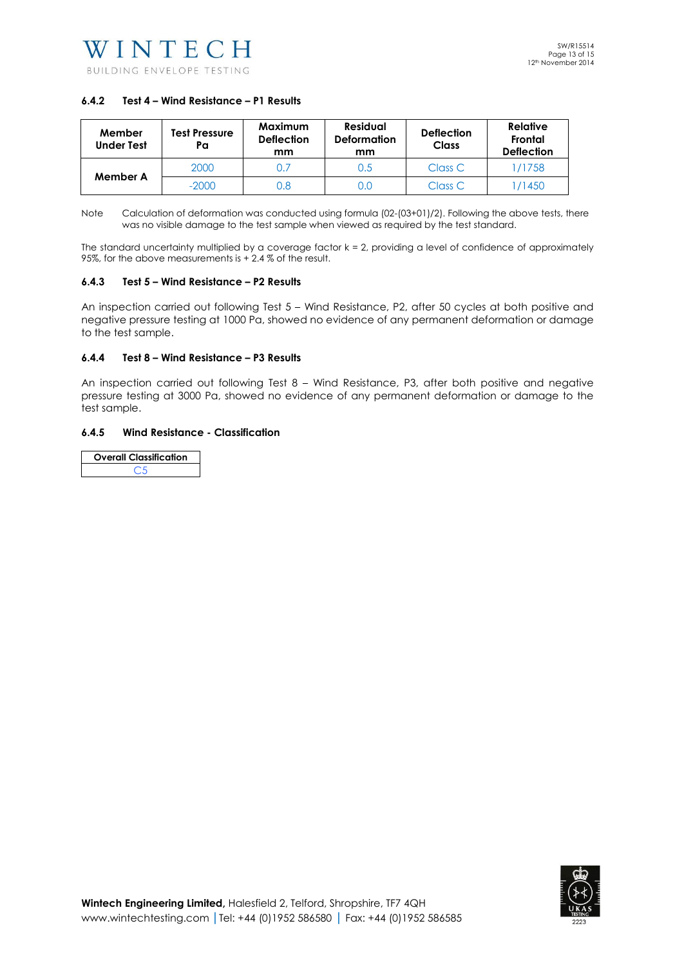# **6.4.2 Test 4 – Wind Resistance – P1 Results**

| Member<br><b>Under Test</b> | Test Pressure<br>Pa | Maximum<br><b>Deflection</b><br>mm | Residual<br><b>Deformation</b><br>mm | <b>Deflection</b><br><b>Class</b> | <b>Relative</b><br>Frontal<br><b>Deflection</b> |
|-----------------------------|---------------------|------------------------------------|--------------------------------------|-----------------------------------|-------------------------------------------------|
| Member A                    | 2000                | 0.7                                | 0.5                                  | Class C                           | 1/1758                                          |
|                             | $-2000$             | 0.8                                | 0.C                                  | Class C                           | /1450                                           |

Note Calculation of deformation was conducted using formula (02-(03+01)/2). Following the above tests, there was no visible damage to the test sample when viewed as required by the test standard.

The standard uncertainty multiplied by a coverage factor  $k = 2$ , providing a level of confidence of approximately 95%, for the above measurements is + 2.4 % of the result.

#### **6.4.3 Test 5 – Wind Resistance – P2 Results**

An inspection carried out following Test 5 – Wind Resistance, P2, after 50 cycles at both positive and negative pressure testing at 1000 Pa, showed no evidence of any permanent deformation or damage to the test sample.

#### **6.4.4 Test 8 – Wind Resistance – P3 Results**

An inspection carried out following Test 8 – Wind Resistance, P3, after both positive and negative pressure testing at 3000 Pa, showed no evidence of any permanent deformation or damage to the test sample.

# **6.4.5 Wind Resistance - Classification**

| <b>Overall Classification</b> |  |
|-------------------------------|--|
| 7 L                           |  |

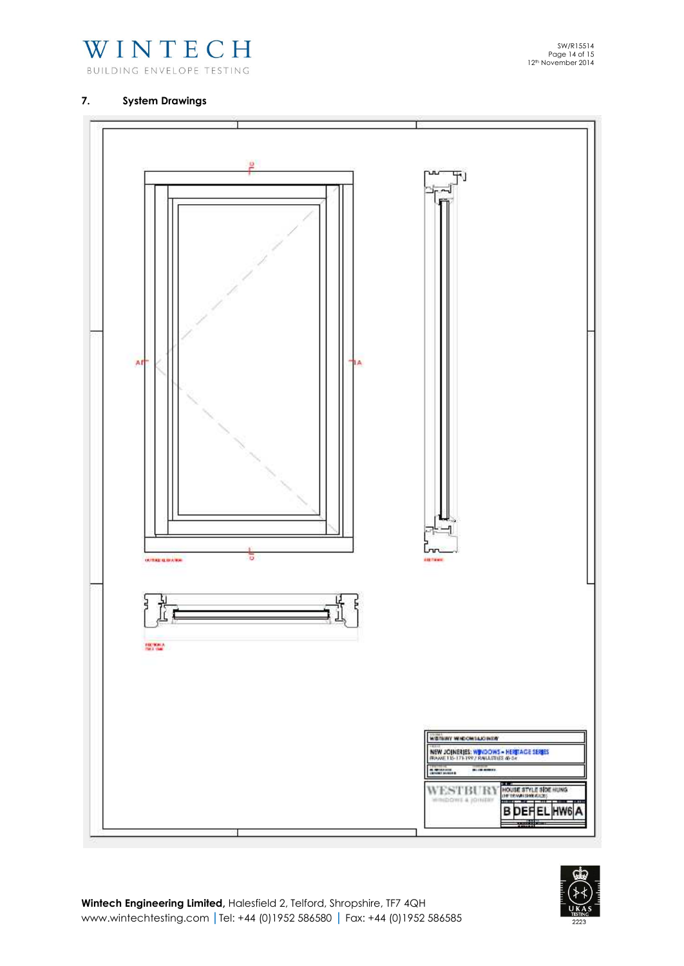

# **7. System Drawings**